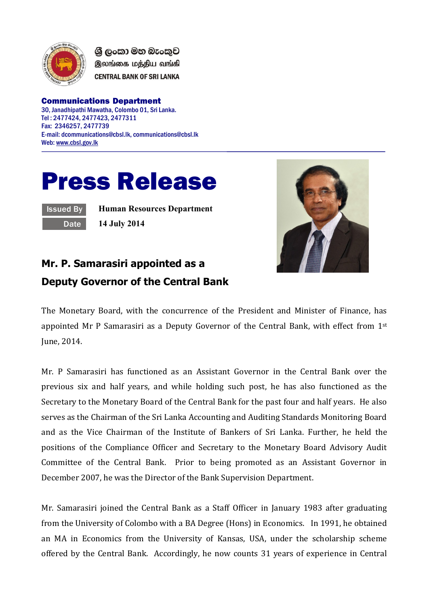

ශී ලංකා මහ බැංකුව இலங்கை மத்திய வங்கி **CENTRAL BANK OF SRI LANKA** 

Communications Department 30, Janadhipathi Mawatha, Colombo 01, Sri Lanka. Tel : 2477424, 2477423, 2477311 Fax: 2346257, 2477739 E-mail: dcommunications@cbsl.lk, communications@cbsl.lk Web[: www.cbsl.gov.lk](http://www.cbsl.gov.lk/)

## Press Release

| ssued |  |
|-------|--|
| ate   |  |

**Human Resources Department 14 July 2014**



## **Mr. P. Samarasiri appointed as a Deputy Governor of the Central Bank**

The Monetary Board, with the concurrence of the President and Minister of Finance, has appointed Mr P Samarasiri as a Deputy Governor of the Central Bank, with effect from  $1<sup>st</sup>$ June, 2014.

Mr. P Samarasiri has functioned as an Assistant Governor in the Central Bank over the previous six and half years, and while holding such post, he has also functioned as the Secretary to the Monetary Board of the Central Bank for the past four and half years. He also serves as the Chairman of the Sri Lanka Accounting and Auditing Standards Monitoring Board and as the Vice Chairman of the Institute of Bankers of Sri Lanka. Further, he held the positions of the Compliance Officer and Secretary to the Monetary Board Advisory Audit Committee of the Central Bank. Prior to being promoted as an Assistant Governor in December 2007, he was the Director of the Bank Supervision Department.

Mr. Samarasiri joined the Central Bank as a Staff Officer in January 1983 after graduating from the University of Colombo with a BA Degree (Hons) in Economics. In 1991, he obtained an MA in Economics from the University of Kansas, USA, under the scholarship scheme offered by the Central Bank. Accordingly, he now counts 31 years of experience in Central